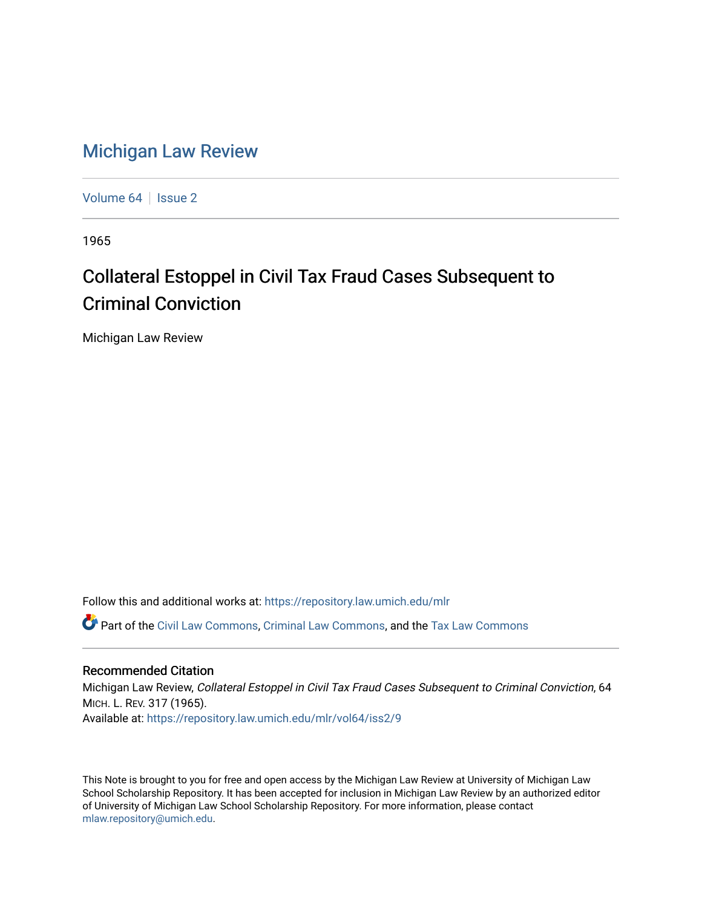## [Michigan Law Review](https://repository.law.umich.edu/mlr)

[Volume 64](https://repository.law.umich.edu/mlr/vol64) | [Issue 2](https://repository.law.umich.edu/mlr/vol64/iss2)

1965

# Collateral Estoppel in Civil Tax Fraud Cases Subsequent to Criminal Conviction

Michigan Law Review

Follow this and additional works at: [https://repository.law.umich.edu/mlr](https://repository.law.umich.edu/mlr?utm_source=repository.law.umich.edu%2Fmlr%2Fvol64%2Fiss2%2F9&utm_medium=PDF&utm_campaign=PDFCoverPages) 

Part of the [Civil Law Commons](http://network.bepress.com/hgg/discipline/835?utm_source=repository.law.umich.edu%2Fmlr%2Fvol64%2Fiss2%2F9&utm_medium=PDF&utm_campaign=PDFCoverPages), [Criminal Law Commons](http://network.bepress.com/hgg/discipline/912?utm_source=repository.law.umich.edu%2Fmlr%2Fvol64%2Fiss2%2F9&utm_medium=PDF&utm_campaign=PDFCoverPages), and the [Tax Law Commons](http://network.bepress.com/hgg/discipline/898?utm_source=repository.law.umich.edu%2Fmlr%2Fvol64%2Fiss2%2F9&utm_medium=PDF&utm_campaign=PDFCoverPages)

#### Recommended Citation

Michigan Law Review, Collateral Estoppel in Civil Tax Fraud Cases Subsequent to Criminal Conviction, 64 MICH. L. REV. 317 (1965). Available at: [https://repository.law.umich.edu/mlr/vol64/iss2/9](https://repository.law.umich.edu/mlr/vol64/iss2/9?utm_source=repository.law.umich.edu%2Fmlr%2Fvol64%2Fiss2%2F9&utm_medium=PDF&utm_campaign=PDFCoverPages)

This Note is brought to you for free and open access by the Michigan Law Review at University of Michigan Law School Scholarship Repository. It has been accepted for inclusion in Michigan Law Review by an authorized editor of University of Michigan Law School Scholarship Repository. For more information, please contact [mlaw.repository@umich.edu.](mailto:mlaw.repository@umich.edu)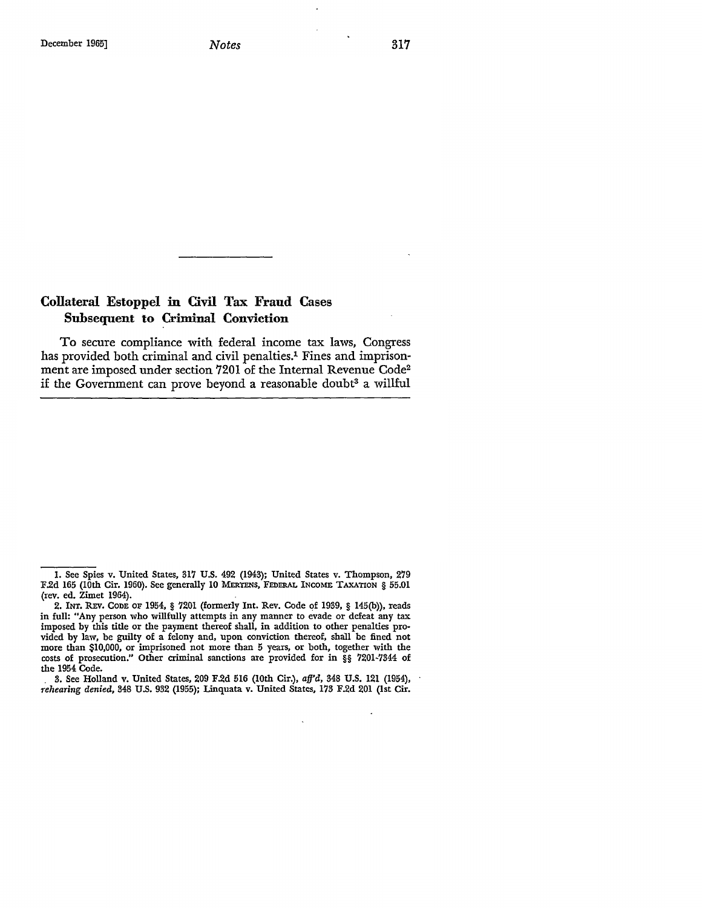### Collateral Estoppel in Civil Tax Fraud Cases Subsequent to Criminal Conviction

To secure compliance with federal income tax laws, Congress has provided both criminal and civil penalties.<sup>1</sup> Fines and imprisonment are imposed under section 7201 of the Internal Revenue Code2 if the Government can prove beyond a reasonable doubt<sup>3</sup> a willful

 $\overline{\phantom{a}}$ 

<sup>1.</sup> See Spies v. United States, 317 U.S. 492 (1943); United States v. Thompson, **279** F.2d 165 (10th Cir. 1960). See generally 10 MERTENS, FEDERAL INCOME TAXATION § 55.01 (rev. ed. Zimet 1964).

<sup>2.</sup> **INT. Ray. CODE OF** 1954, § 7201 (formerly Int. Rev. Code of **1939,** § 145(b)), reads in full: "Any person who willfully attempts in any manner to evade or defeat any tax imposed by this title or the payment thereof shall, in addition to other penalties provided by law, be guilty of a felony and, upon conviction thereof, shall be fined not more than \$10,000, or imprisoned not more than **5** years, or both, together with the costs of prosecution." Other criminal sanctions are provided for in §§ 7201-7344 of the 1954 Code.

<sup>3.</sup> See Holland v. United States, **209** F.2d **516** (10th Cir.), *aff'd,* 348 U.S. 121 (1954), *rehearing denied,* **348 U.S. 932 (1955);** Linquata v. United States, **173 F.2d** 201 (lst Cir.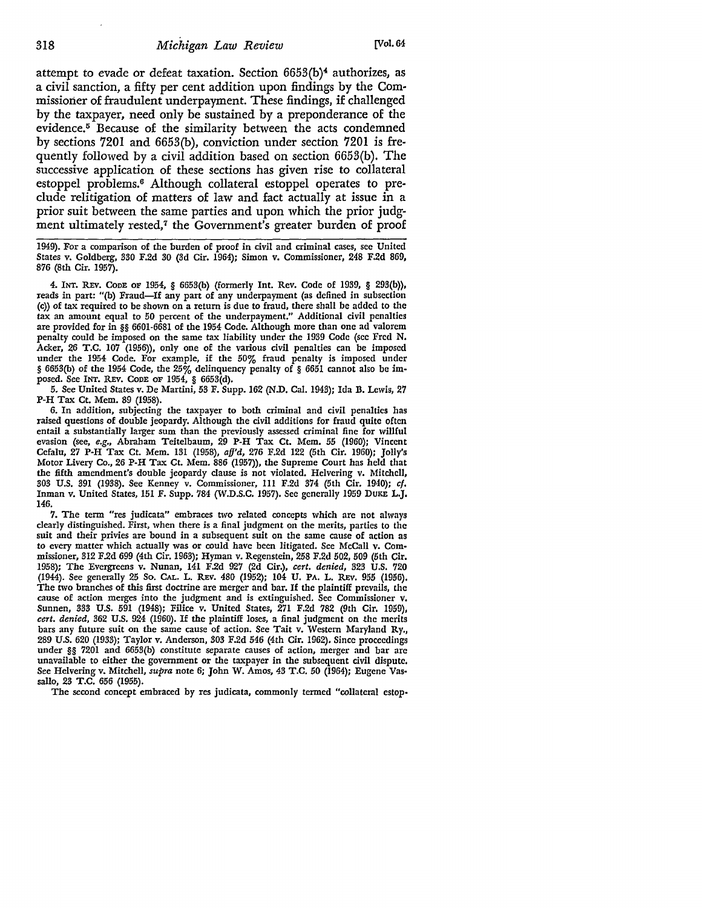attempt to evade or defeat taxation. Section  $6653(b)^4$  authorizes, as a civil sanction, a fifty per cent addition upon findings by the Commissioner of fraudulent underpayment. These findings, if challenged by the taxpayer, need only be sustained by a preponderance of the evidence.<sup>5</sup> Because of the similarity between the acts condemned by sections 7201 and 6653(b), conviction under section 7201 is frequently followed by a civil addition based on section 6653(b). The successive application of these sections has given rise to collateral estoppel problems.<sup>6</sup> Although collateral estoppel operates to preclude relitigation of matters of law and fact actually at issue in a prior suit between the same parties and upon which the prior judgment ultimately rested,<sup>7</sup> the Government's greater burden of proof

1949). For a comparison of the burden of proof in civil and criminal cases, see United States v. Goldberg, **330 F.2d 30 (3d** Cir. 1964); Simon v. Commissioner, 248 **F.2d 869, 876** (8th Cir. 1957).

4. INT. **REV.** CODE **OF** 1954, § **6653(b)** (formerly Int. Rev. Code of **1939,** § 293(b)), reads in part: "(b) Fraud-If any part of any underpayment (as defined in subsection (c)) of tax required to be shown on a return is due to fraud, there shall **be** added to the tax an amount equal to **50** percent of the underpayment." Additional civil penalties are provided for in §§ **6601-6681** of the 1954 Code. Although more than one ad valorem penalty could be imposed on the same tax liability under the **1939** Code (see Fred **N.** Acker, **26** T.C. **107** (1956)), only one of the various civil penalties can be imposed under the 1954 Code. For example, if the **50%** fraud penalty is imposed under § **6653(b)** of the 1954 Code, the **25%** delinquency penalty of § **6651** cannot also **be** imposed. See INT. REv. **CoDE oF** 1954, § **6653(d).**

**5.** See United States v. De Martini, **53** F. Supp. **162 (N.D.** Cal. 1943); Ida **B.** Lewis, **27** P-H Tax Ct. Mem. **89** (1958).

**6.** In addition, subjecting the taxpayer to both criminal and civil penalties has raised questions of double jeopardy. Although the civil additions for fraud quite often entail a substantially larger sum than the previously assessed criminal fine for willful evasion (see, e.g., Abraham Teitelbaum, **29** P-H Tax Ct. Mem. **55 (1960);** Vincent Cefalu, 27 P-H Tax Ct. Mem. 131 (1958), *afJ'd,* **276 F.2d** 122 (5th Cir. **1960);** Jolly's Motor Livery Co., **26** P-H Tax Ct. Mem. **886** (1957)), the Supreme Court has held that the fifth amendment's double jeopardy clause is not violated. Helvering v. Mitchell, **303** U.S. **391** (1938). See Kenney v. Commissioner, 111 **F.2d** 374 (5th Cir. 1940); *cf.* Inman v. United States, **151** F. Supp. **784** (W.D.S.C. **1957).** See generally **1959** DuKE L.J. 146.

**7.** The term "res judicata" embraces two related concepts which are not always dearly distinguished. First, when there is a final judgment on the merits, parties to the to every matter which actually was or could have been litigated. See McCall v. Commissioner, 312 **F.2d** 699 (4th Cir. 1963); Hyman v. Regenstein, **258 F.2d** 502, 509 (5th Cir. 1958); The Evergreens v. Nunan, 141 F2d 927 (2d Cir.), *cert. denied,* **323** U.S. 720 (1944). See generally 25 So. **CAL.** L. Rxv. 480 (1952); 104 U. PA. L. Rxv. **955** (1956). cause of action merges into the judgment and is extinguished. See Commissioner v. Sunnen, 333 U.S. 591 (1948); Filice v. United States, 271 F.2d 782 (9th Cir. 1959), *cert. denied,* 362 U.S. 924 (1960). If the plaintiff loses, a final judgment on the merits bars any future suit on the same cause of action. See Tait v. Western Maryland Ry., 289 U.S. 620 (1933); Taylor v. Anderson, 303 F.2d 546 (4th Cir. 1962). Since proceedings under §§ 7201 and 6653(b) constitute separate causes of action, merger and bar are unavailable to either the government or the taxpayer in the subsequent civil dispute. See Helvering v. Mitchell, *supra* note 6; John W. Amos, 43 T.C. **50** (1964); Eugene Vassallo, **23** T.C. 656 (1955).

The second concept embraced **by** res judicata, commonly termed "collateral estop-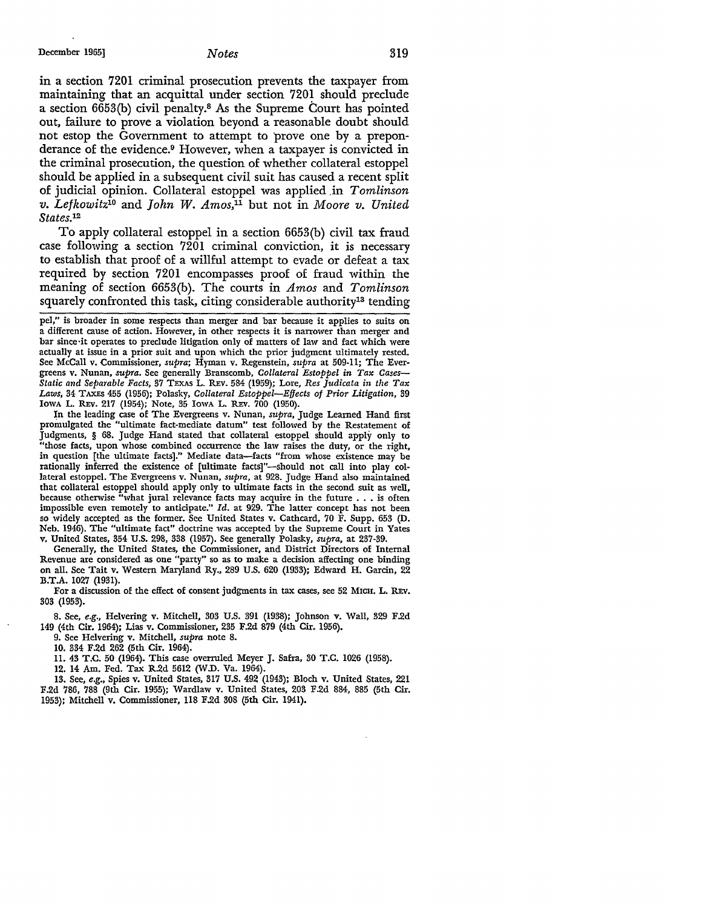#### *Notes*

in a section 7201 criminal prosecution prevents the taxpayer from maintaining that an acquittal under section 7201 should preclude a section 6653(b) civil penalty.<sup>8</sup> As the Supreme Court has pointed out, failure to prove a violation beyond a reasonable doubt should not estop the Government to attempt to prove one by a preponderance of the evidence.9 However, when a taxpayer is convicted in the criminal prosecution, the question of whether collateral estoppel should be applied in a subsequent civil suit has caused a recent split of judicial opinion. Collateral estoppel was applied ,in *Tomlinson v. Lefkowitz'0* and *John W. Amos,"* but not in *Moore v. United* States.<sup>12</sup>

To apply collateral estoppel in a section 6653(b) civil tax fraud case following a section 7201 criminal conviction, it is necessary to establish that proof of a willful attempt to evade or defeat a tax required by section 7201 encompasses proof of fraud within the meaning of section 6653(b). The courts in *Amos* and *Tomlinson* squarely confronted this task, citing considerable authority<sup>13</sup> tending

pel," is broader in some respects than merger and bar because it applies to suits on a different cause of action. However, in other respects it is narrower than merger and bar since-it operates to preclude litigation only of matters of law and fact which were actually at issue in a prior suit and upon which the prior judgment ultimately rested. See McCall v. Commissioner, *supra;* Hyman v. Regenstein, *supra* at 509-11; The Evergreens v. Nunan, *supra.* See generally Branscomb, *Collateral Estoppel in Tax Cases-Static and Separable Facts,* **37 TExAs** L. R~v. 584 (1959); Lore, *Res Judicata in the Tax Laws,* 34 TAxEs 455 (1956); Polasky, *Collateral Estoppel-Effects of Prior Litigation, 39* IowA L. REv. 217 (1954); Note, 35 IoWA L. Rav. 700 (1950).

In the leading case of The Evergreens v. Nunan, *supra,* Judge Learned Hand first promulgated the "ultimate fact-mediate datum" test followed by the Restatement of Judgments, § 68. Judge Hand stated that collateral estoppel should apply only to "those facts, upon whose combined occurrence the law raises the duty, or the right, in question [the ultimate facts]." Mediate data-facts "from whose existence may be rationally inferred the existence of [ultimate facts]"--should not call into play collateral estoppel. The Evergreens v. Nunan, *supra,* at 928. Judge Hand also maintained that collateral estoppel should apply only to ultimate facts in the second suit as well, because otherwise "what jural relevance facts may acquire in the future ..**.**is often impossible even remotely to anticipate." *Id.* at 929. The latter concept has not been so widely accepted as the former. See United States v. Cathcard, 70 F. Supp. 653 (D. Neb. 1946). The "ultimate fact" doctrine was accepted by the Supreme Court in Yates v. United States, 354 U.S. 298, 338 (1957). See generally Polasky, *supra,* at 237-39.

Generally, the United States, the Commissioner, and District Directors of Internal Revenue are considered as one "party" so as to make a decision affecting one binding on all. See Tait v. Western Maryland Ry., 289 U.S. 620 (1933); Edward H. Garcin, 22 B.T.A. 1027 (1931).

For a discussion of the effect of consent judgments in tax cases, see 52 MICH. L. REV. **303 (1953).**

8. See, *e.g.,* Helvering v. Mitchell, 303 U.S. 391 (1938); Johnson v. Wall, **329** F.2d 149 (4th Cir. 1964); Lias v. Commissioner, 235 **F.2d** 879 (4th Cir. **1956).**

9. See Helvering v. Mitchell, *supra* note 8.

**10.** 334 **F.2d** 262 (5th Cir. 1964).

11. 43 T.C. **50** (1964). This case overruled Meyer J. Safra, 30 T.C. 1026 (1958).

12. 14 Am. Fed. Tax R.2d 5612 (W.D. Va. 1964).

13. See, *e.g.,* Spies v. United States, 317 U.S. 492 (1943); Bloch v. United States, 221 F.2d 786, 788 (9th Cir. 1955); Wardlaw v. United States, 203 F.2d 884, 885 (5th Cir. 1953); Mitchell v. Commissioner, 118 F.2d 308 (5th Cir. 1941).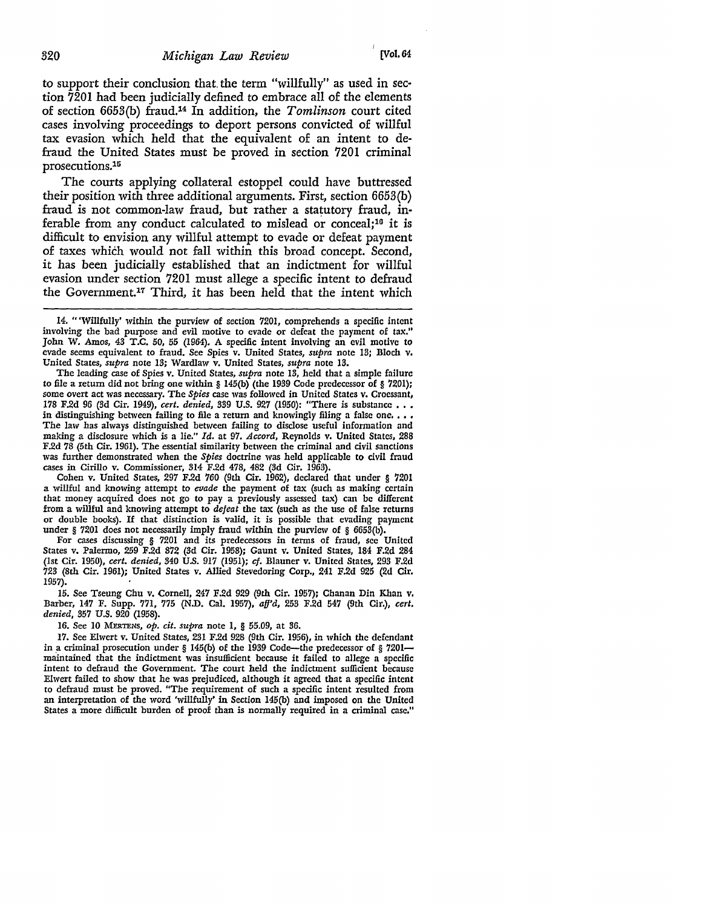to support their conclusion that, the term "willfully" as used in section **7201** had been judicially defined to embrace all of the elements of section 6653(b) fraud.14 In addition, the *Tomlinson* court cited cases involving proceedings to deport persons convicted of willful tax evasion which held that the equivalent of an intent to defraud the United States must be proved in section 7201 criminal prosecutions. <sup>15</sup>

The courts applying collateral estoppel could have buttressed their position with three additional arguments. First, section 6653(b) fraud is not common-law fraud, but rather a statutory fraud, inferable from any conduct calculated to mislead or conceal;<sup>16</sup> it is difficult to envision any willful attempt to evade or defeat payment of taxes which would not fall within this broad concept. Second, it has been judicially established that an indictment for willful evasion under section **7201** must allege a specific intent to defraud the Government.<sup>17</sup> Third, it has been held that the intent which

The leading case of Spies v. United States, *supra* note 13, **held** that a simple failure to file a return did not bring one within § 145(b) (the **1939** Code predecessor of § **7201);** some overt act was necessary. The *Spies* case was followed in United States v. Croessant, in distinguishing between failing to file a return and knowingly filing a false one.... The law has always distinguished between failing to disclose useful information and making a disclosure which is a lie." *Id.* at **97.** *Accord,* Reynolds v. United States, **288 F.2d** 78 (5th Cir. 1961). The essential similarity between the criminal and civil sanctions was further demonstrated when the *Spies* doctrine was held applicable to civil fraud cases in Cirillo v. Commissioner, 314 F.2d 478, 482 **(3d** Cir. **1963).**

a willful and knowing attempt to *evade* the payment of tax (such as making certain that money acquired does not go to pay a previously assessed tax) can be different from a willful and knowing attempt to *defeat* the tax (such as the use of false returns or double books). **If** that distinction is valid, it is possible that evading payment under § **7201** does not necessarily imply fraud within the purview of § 6653(b).

For cases discussing § 7201 and its predecessors in terms of fraud, see United States v. Palermo, **259 F.2d 872** (3d Cir. 1958); Gaunt v. United States, 184 F.2d 284 (Ist Cir. 1950), *cert. denied,* 340 U.S. **917** (1951); *cf.* Blauner v. United States, **293** F.2d **723** (8th Cir. 1961); United States v. Allied Stevedoring Corp., 241 **F.2d 925 (2d** Cir. **1957).**

**15.** See Tseung Chu v. Cornell, 247 F.2d **929** (9th Cir. 1957); Chanan Din Khan v. Barber, 147 F. Supp. 771, **775 (N.]).** Cal. **1957),** *aff'd,* **253 F2d** 547 (9th Cir.), *cert. denied,* **357 U.S. 920 (1958).**

**16.** See 10 MrarENs, op. *cit. supra* note 1, § **55.09,** at 36.

**17.** See Elwert v. United States, 231 F.2d **928** (9th Cir. 1956), in which the defendant in a criminal prosecution under § 145(b) of the **1939** Code-the predecessor of § **7201** maintained that the indictment was insufficient because it failed to allege a specific intent to defraud the Government. The court held the indictment sufficient because Elwert failed to show that he was prejudiced, although it agreed that a specific intent to defraud must be proved. "The requirement of such a specific intent resulted from an interpretation of the word 'willfully' in Section 145(b) and imposed on the United States a more difficult burden of proof than is normally required in a criminal case."

<sup>14. &</sup>quot;'Willfully' within the purview of section 7201, comprehends a specific intent involving the bad purpose and evil motive to evade or defeat the payment of tax." John W. Amos, 43 T.C. **50, 55** (1964). A specific intent involving an evil motive to evade seems equivalent to fraud. See Spies v. United States, *supra* note **13;** Bloch v. United States, *supra* note **13;** Wardlaw v. United States, *supra* note **13.**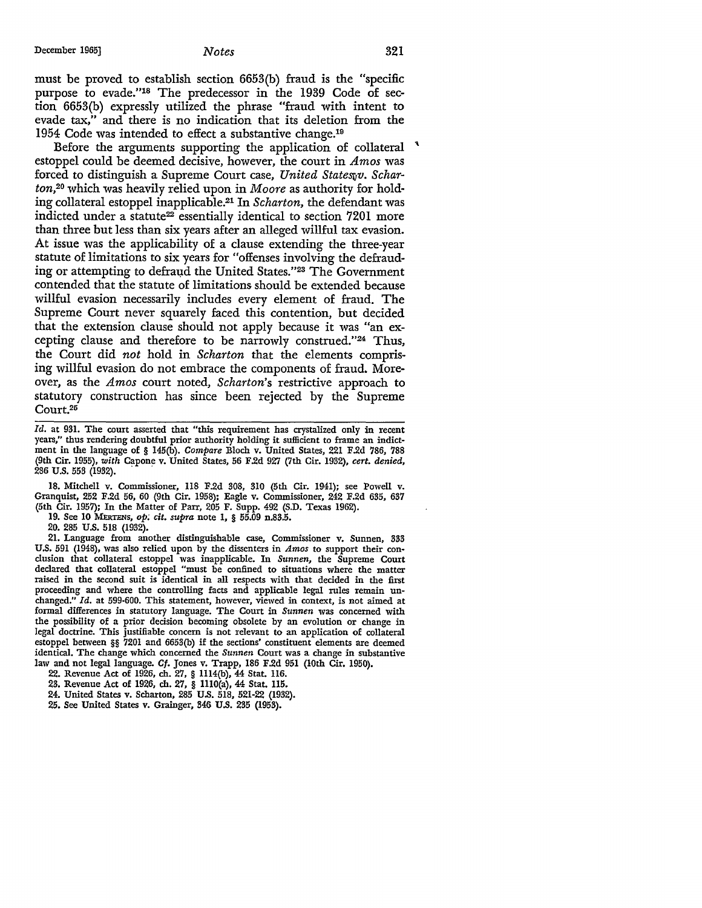must be proved to establish section 6653(b) fraud is the "specific purpose to evade."<sup>18</sup> The predecessor in the 1939 Code of section 6653(b) expressly utilized the phrase "fraud with intent to evade tax," and there is no indication that its deletion from the 1954 Code was intended to effect a substantive change.19

Before the arguments supporting the application of collateral  $\lambda$ estoppel could be deemed decisive, however, the court in *Amos* was forced to distinguish a Supreme Court case, *United Statesov. Scharton,20* which was heavily relied upon in *Moore* as authority for holding collateral estoppel inapplicable.21 In *Scharton,* the defendant was indicted under a statute<sup>22</sup> essentially identical to section 7201 more than three but less than six years after an alleged willful tax evasion. At issue was the applicability of a clause extending the three-year statute of limitations to six years for "offenses involving the defrauding or attempting to defraud the United States."<sup>23</sup> The Government contended that the statute of limitations should be extended because willful evasion necessarily includes every element of fraud. The Supreme Court never squarely faced this contention, but decided that the extension clause should not apply because it was "an excepting clause and therefore to be narrowly construed."24 Thus, the Court did *not* hold in *Scharton* that the elements comprising willful evasion do not embrace the components of fraud. Moreover, as the *Amos* court noted, *Scharton's* restrictive approach to statutory construction has since been rejected by the Supreme  $Court.<sup>25</sup>$ 

*Id.* at 931. The court asserted that "this requirement has crystalized only in recent years," thus rendering doubtful prior authority holding it sufficient to frame an indictment in the language of § 145(b). *Compare* Bloch v. United States, 221 **F.2d 786, 788** (9th Cir. **1955),** *with* Capone v. United States, **56** F.2d **927** (7th Cir. 1932), *cert. denied,* **286 U.S. 553** (1932).

**18.** Mitchell v. Commissioner, **118 F.2d 308, 310** (5th Cir. 1941); see Powell v. Granquist, **252 F.2d 56, 60** (9th Cir. 1958); Eagle v. Commissioner, 242 **F.2d 635, 637** (5th Cir. **1957);** In the Matter of Parr, **205** F. Supp. 492 **(S.D.** Texas **1962).**

**19.** See **10** MRnr.Ns, *op. cit. supra* note **1,** § **55.09** n.83.5.

20. **285 U.S. 518 (1932).**

21. Language from another distinguishable case, Commissioner v. Sunnen, **333 U.S. 591** (1948), was also relied upon **by** the dissenters in *Amos* to support their con- clusion that collateral estoppel was inapplicable. In *Sunnen,* the Supreme Court declared that collateral estoppel "must be confined to situations where the matter raised in the second suit is identical in all respects with that **decided** in the first changed." *Id.* at 599-600. This statement, however, viewed in context, is not aimed at formal differences in statutory language. The Court in *Sunnen* was concerned with the possibility of a prior decision becoming obsolete **by** an evolution or change in legal doctrine. This justifiable concern is not relevant to an application of collateral estoppel between §§ **7201** and **6653(b)** if the sections' constituent elements are deemed identical. The change which concerned the *Sunnen* Court was a change in substantive law and not legal language. *Cf.* Jones v. Trapp, **186 F.2d 951** (10th Cir. **1950).**

- 22. Revenue Act of **1926,** ch. **27,** § 1114(b), 44 Stat. **116.**
- **23.** Revenue Act of **1926,** ch. **27,** § 1110(a), 44 Stat. **115.**
- 24. United States v. Scharton, **285 US. 518,** 521-22 **(1932).**
- **25.** See United States v. Grainger, **346 U.S. 235 (1953).**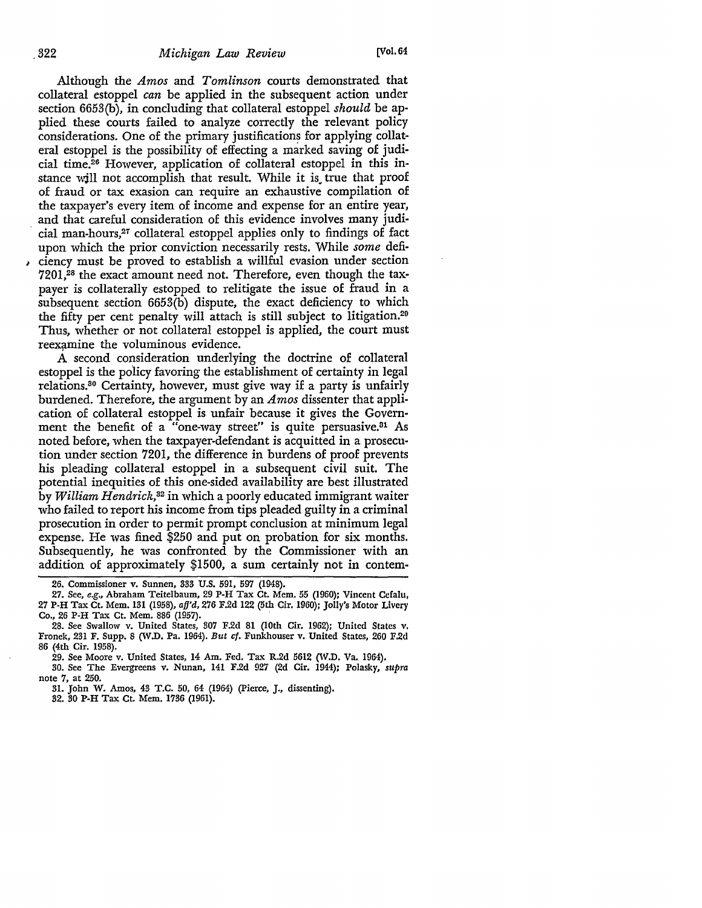Although the *Amos* and *Tomlinson* courts demonstrated that collateral estoppel *can* be applied in the subsequent action under section 6653(b), in concluding that collateral estoppel *should* be applied these courts failed to analyze correctly the relevant policy considerations. One of the primary justifications for applying collateral estoppel is the possibility of effecting a marked saving of judicial time.26 However, application of collateral estoppel in this instance **wII** not accomplish that result. While it is, true that proof of fraud or tax exasion can require an exhaustive compilation of the taxpayer's every item of income and expense for an entire year, and that careful consideration of this evidence involves many judicial man-hours,27 collateral estoppel applies only to findings of fact upon which the prior conviction necessarily rests. While *some defi-* , ciency must be proved to establish a willful evasion under section 7201,28 the exact amount need not. Therefore, even though the taxpayer is collaterally estopped to relitigate the issue of fraud in a subsequent section 6653(b) dispute, the exact deficiency to which the fifty per cent penalty will attach is still subject to litigation.<sup>29</sup> Thus, whether or not collateral estoppel is applied, the court must reexamine the voluminous evidence.

A second consideration underlying the doctrine of collateral estoppel is the policy favoring the establishment of certainty in legal relations.30 Certainty, however, must give way if a party is unfairly burdened. Therefore, the argument by an *Amos* dissenter that application of collateral estoppel is unfair because it gives the Government the benefit of a "one-way street" is quite persuasive.<sup>31</sup> As noted before, when the taxpayer-defendant is acquitted in a prosecution under section 7201, the difference in burdens of proof prevents his pleading collateral estoppel in a subsequent civil suit. The potential inequities of this one-sided availability are best illustrated by *William Hendrick*,<sup>32</sup> in which a poorly educated immigrant waiter who failed to report his income from tips pleaded guilty in a criminal prosecution in order to permit prompt conclusion at minimum legal expense. He was fined \$250 and put on probation for six months. Subsequently, he was confronted by the Commissioner with an addition of approximately \$1500, a sum certainly not in contem-

<sup>26.</sup> Commissioner v. Sunnen, **333 U.S. 591,** 597 (1948).

<sup>27.</sup> *See, e.g.,* Abraham Teitelbaum, 29 P-H Tax Ct. Mem. **55** (1960); Vincent Cefalu, 27 P-H Tax Ct. Mem. **131** (1958), *aff'd,* 276 F.2d 122 (5th Cir. 1960); Jolly's Motor Livery Co., 26 P-H Tax Ct. Mem. 886 (1957).

**<sup>28.</sup>** See Swallow v. United States, **307 F.2d** 81 (10th Cir. 1962); United States v. Fronek, **231** F. Supp. 8 (W.D. Pa. 1964). *But cf.* Funkhouser v. United States, **260** F.2d 86 (4th Cir. **1958).**

<sup>29.</sup> See Moore v. United States, 14 Am. Fed. Tax R.2d **5612** (W.D. Va. 1964).

**<sup>30.</sup>** See The Evergreens v. Nunan, 141 F.2d **927** (2d Cir. 1944); Polasky, supra note **7,** at **250.**

**<sup>31.</sup>** John W. Amos, 43 **T.C. 50,** 64 (1964) (Pierce, **J.,** dissenting).

<sup>32.</sup> **80** P-H Tax Ct. Mem. **1786** (1961).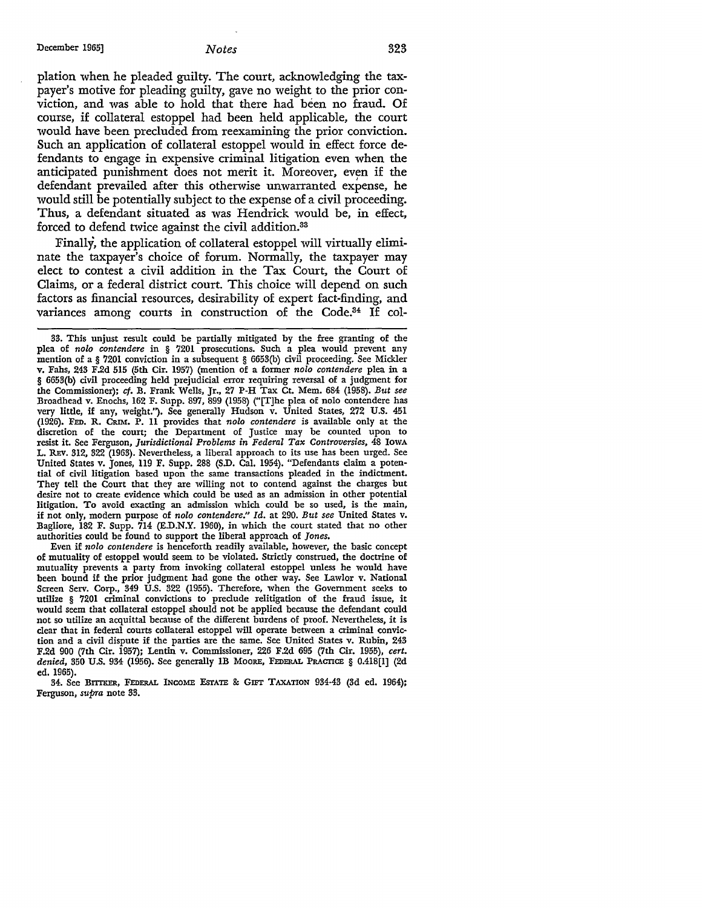plation when he pleaded guilty. The court, acknowledging the taxpayer's motive for pleading guilty, gave no weight to the prior conviction, and was able to hold that there had been no fraud. Of course, if collateral estoppel had been held applicable, the court would have been precluded from reexamining the prior conviction. Such an application of collateral estoppel would in effect force defendants to engage in expensive criminal litigation even when the anticipated punishment does not merit it. Moreover, even if the defendant prevailed after this otherwise unwarranted expense, he would still be potentially subject to the expense of a civil proceeding. Thus, a defendant situated as was Hendrick would be, in effect, forced to defend twice against the civil addition.<sup>33</sup>

Finally, the application of collateral estoppel will virtually eliminate the taxpayer's choice of forum. Normally, the taxpayer may elect to contest a civil addition in the Tax Court, the Court of Claims, or a federal district court. This choice will depend on such factors as financial resources, desirability of expert fact-finding, and variances among courts in construction of the Code.34 If col-

Even if *nolo contendere* is henceforth readily available, however, the basic concept of mutuality of estoppel would seem to be violated. Strictly construed, the doctrine of mutuality prevents a party from invoking collateral estoppel unless he would have been bound if the prior judgment had gone the other way. See Lawlor v. National Screen Serv. Corp., 349 U.S. 322 (1955). Therefore, when the Government seeks to utilize § 7201 criminal convictions to preclude relitigation of the fraud issue, it would seem that collateral estoppel should not be applied because the defendant could not so utilize an acquittal because of the different burdens of proof. Nevertheless, it is clear that in federal courts collateral estoppel will operate between a criminal conviction and a civil dispute if the parties are the same. See United States v. Rubin, 243 F.2d 900 (7th Cir. 1957); Lentin v. Commissioner, **226** F.2d **695** (7th Cir. **1955),** *cert. denied,* **350** U.S. 934 (1956). See generally lB *MOORE,* FEDEAL PRACrIC § 0.418[1] (2d ed. 1965).

34. See Brrraxa, **FEDERAL** INCOME EsATF. **& G-r TAXATION** 934-43 (3d ed. 1964); Ferguson, *supra* note **33.**

**<sup>33.</sup>** This unjust result could be partially mitigated by the free granting of the plea of *nolo contendere* in § **7201** prosecutions. Such a plea would prevent any mention of a § **7201** conviction in a subsequent § **6653(b)** civil proceeding. See Mickler v. Fahs, 243 **F.2d 515** (5th Cir. **1957)** (mention of a former *nolo contendere* plea in a § **6653(b)** civil proceeding held prejudicial error requiring reversal of a judgment for the Commissioner); *cf.* B. Frank Wells, Jr., **27** P-H Tax Ct. Mem. 684 **(1958).** *But see* Broadhead v. Enochs, 162 F. Supp. 897, 899 (1958) ("[T]he plea of nolo contendere has very little, if any, weight.'). See generally Hudson v. United States, **272 U.S.** 451 (1926). **FED.** R. *Camm.* P. 11 provides that *nolo contendere* is available only at the discretion of the court; the Department of Justice may be counted upon to resist it. See Ferguson, *Jurisdictional Problems in Federal Tax Controversies, 48* IowA L. REv. 312, 322 (1963). Nevertheless, a liberal approach to its use has been urged. See United States v. Jones, **119** F. Supp. 288 (S.D. Cal. 1954). "Defendants claim a potential of civil litigation based upon the same transactions pleaded in the indictment. They tell the Court that they are willing not to contend against the charges but desire not to create evidence which could be used as an admission in other potential litigation. To avoid exacting an admission which could be so used, is the main, if not only, modern purpose of *nolo contendere." Id.* at 290. *But see* United States v. Bagliore, 182 F. Supp. 714 (E.D.N.Y. 1960), in which the court stated that no other authorities could be found to support the liberal approach of *Jones.*